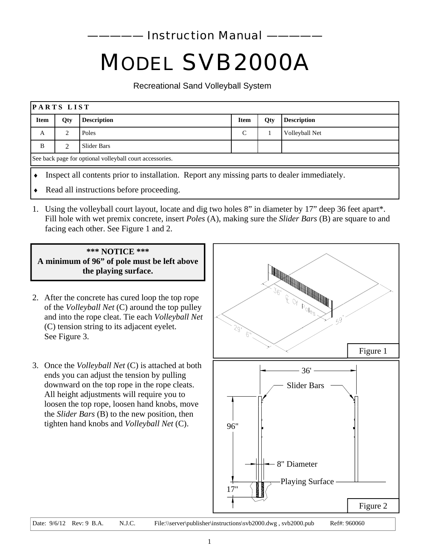**Instruction Manual** 

# *MODEL SVB2000A*

Recreational Sand Volleyball System

| PARTS LIST                                                                                  |                                          |                    |               |     |                    |
|---------------------------------------------------------------------------------------------|------------------------------------------|--------------------|---------------|-----|--------------------|
| <b>Item</b>                                                                                 | Qty                                      | <b>Description</b> | <b>Item</b>   | Qty | <b>Description</b> |
| A                                                                                           |                                          | Poles              | $\mathcal{C}$ |     | Volleyball Net     |
| B                                                                                           | $\mathcal{L}$                            | Slider Bars        |               |     |                    |
| See back page for optional volleyball court accessories.                                    |                                          |                    |               |     |                    |
| Inspect all contents prior to installation. Report any missing parts to dealer immediately. |                                          |                    |               |     |                    |
| $\bullet$                                                                                   | Read all instructions before proceeding. |                    |               |     |                    |

1. Using the volleyball court layout, locate and dig two holes 8" in diameter by 17" deep 36 feet apart\*. Fill hole with wet premix concrete, insert *Poles* (A), making sure the *Slider Bars* (B) are square to and facing each other. See Figure 1 and 2.

## **\*\*\* NOTICE \*\*\* A minimum of 96" of pole must be left above the playing surface.**

- 2. After the concrete has cured loop the top rope of the *Volleyball Net* (C) around the top pulley and into the rope cleat. Tie each *Volleyball Net*  (C) tension string to its adjacent eyelet. See Figure 3.
- 3. Once the *Volleyball Net* (C) is attached at both ends you can adjust the tension by pulling downward on the top rope in the rope cleats. All height adjustments will require you to loosen the top rope, loosen hand knobs, move the *Slider Bars* (B) to the new position, then tighten hand knobs and *Volleyball Net* (C).